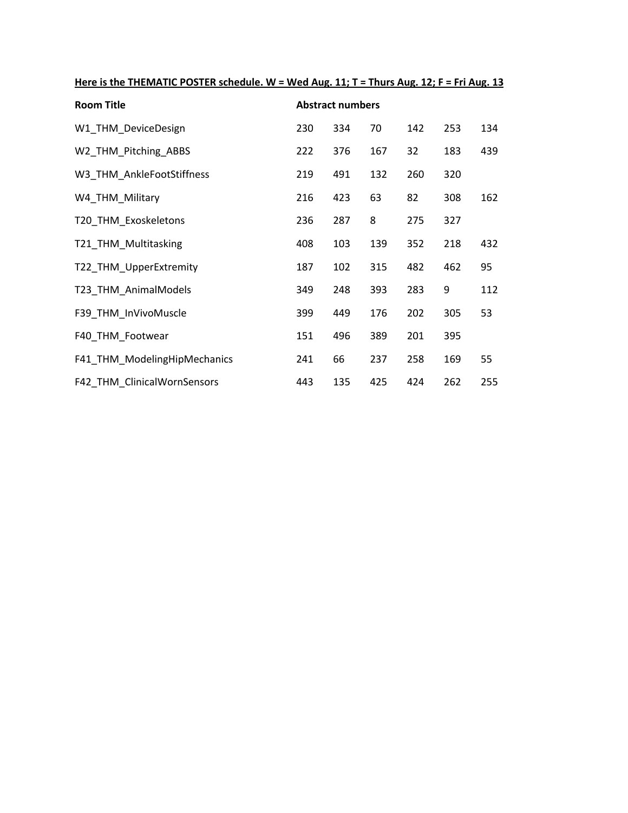| Here is the THEMATIC POSTER schedule. W = Wed Aug. 11; T = Thurs Aug. 12; F = Fri Aug. 13 |
|-------------------------------------------------------------------------------------------|
|-------------------------------------------------------------------------------------------|

| <b>Room Title</b>            | <b>Abstract numbers</b> |     |     |     |     |     |  |
|------------------------------|-------------------------|-----|-----|-----|-----|-----|--|
| W1 THM DeviceDesign          | 230                     | 334 | 70  | 142 | 253 | 134 |  |
| W2_THM_Pitching_ABBS         | 222                     | 376 | 167 | 32  | 183 | 439 |  |
| W3 THM AnkleFootStiffness    | 219                     | 491 | 132 | 260 | 320 |     |  |
| W4_THM_Military              | 216                     | 423 | 63  | 82  | 308 | 162 |  |
| T20_THM_Exoskeletons         | 236                     | 287 | 8   | 275 | 327 |     |  |
| T21_THM_Multitasking         | 408                     | 103 | 139 | 352 | 218 | 432 |  |
| T22 THM UpperExtremity       | 187                     | 102 | 315 | 482 | 462 | 95  |  |
| T23_THM_AnimalModels         | 349                     | 248 | 393 | 283 | 9   | 112 |  |
| F39 THM InVivoMuscle         | 399                     | 449 | 176 | 202 | 305 | 53  |  |
| F40_THM_Footwear             | 151                     | 496 | 389 | 201 | 395 |     |  |
| F41_THM_ModelingHipMechanics | 241                     | 66  | 237 | 258 | 169 | 55  |  |
| F42 THM ClinicalWornSensors  | 443                     | 135 | 425 | 424 | 262 | 255 |  |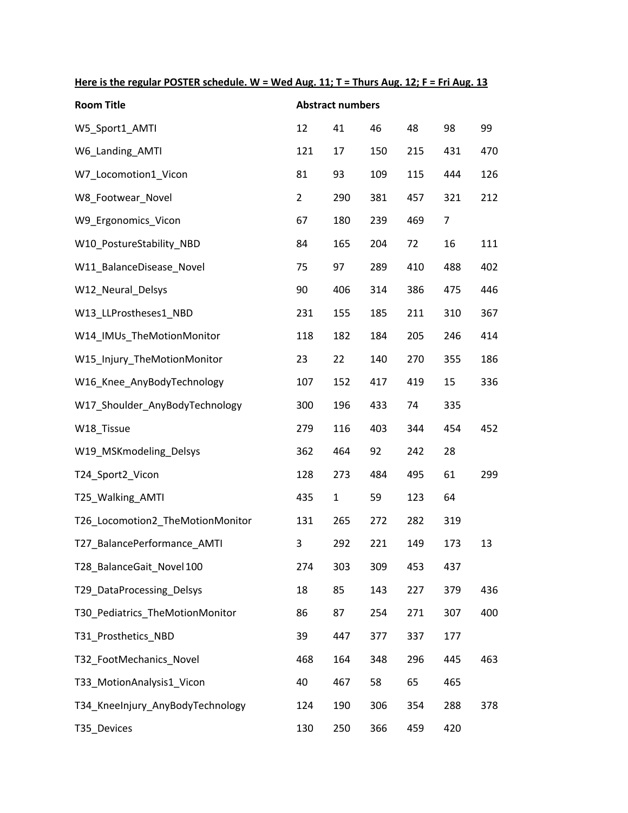| Here is the regular POSTER schedule. W = Wed Aug. 11; T = Thurs Aug. 12; F = Fri Aug. 13 |
|------------------------------------------------------------------------------------------|
|------------------------------------------------------------------------------------------|

| <b>Room Title</b>                | <b>Abstract numbers</b> |              |     |     |                |     |  |
|----------------------------------|-------------------------|--------------|-----|-----|----------------|-----|--|
| W5_Sport1_AMTI                   | 12                      | 41           | 46  | 48  | 98             | 99  |  |
| W6_Landing_AMTI                  | 121                     | 17           | 150 | 215 | 431            | 470 |  |
| W7_Locomotion1_Vicon             | 81                      | 93           | 109 | 115 | 444            | 126 |  |
| W8_Footwear_Novel                | $\overline{2}$          | 290          | 381 | 457 | 321            | 212 |  |
| W9_Ergonomics_Vicon              | 67                      | 180          | 239 | 469 | $\overline{7}$ |     |  |
| W10_PostureStability_NBD         | 84                      | 165          | 204 | 72  | 16             | 111 |  |
| W11_BalanceDisease_Novel         | 75                      | 97           | 289 | 410 | 488            | 402 |  |
| W12_Neural_Delsys                | 90                      | 406          | 314 | 386 | 475            | 446 |  |
| W13_LLProstheses1_NBD            | 231                     | 155          | 185 | 211 | 310            | 367 |  |
| W14 IMUs TheMotionMonitor        | 118                     | 182          | 184 | 205 | 246            | 414 |  |
| W15_Injury_TheMotionMonitor      | 23                      | 22           | 140 | 270 | 355            | 186 |  |
| W16_Knee_AnyBodyTechnology       | 107                     | 152          | 417 | 419 | 15             | 336 |  |
| W17_Shoulder_AnyBodyTechnology   | 300                     | 196          | 433 | 74  | 335            |     |  |
| W18 Tissue                       | 279                     | 116          | 403 | 344 | 454            | 452 |  |
| W19_MSKmodeling_Delsys           | 362                     | 464          | 92  | 242 | 28             |     |  |
| T24_Sport2_Vicon                 | 128                     | 273          | 484 | 495 | 61             | 299 |  |
| T25_Walking_AMTI                 | 435                     | $\mathbf{1}$ | 59  | 123 | 64             |     |  |
| T26_Locomotion2_TheMotionMonitor | 131                     | 265          | 272 | 282 | 319            |     |  |
| T27_BalancePerformance_AMTI      | 3                       | 292          | 221 | 149 | 173            | 13  |  |
| T28 BalanceGait Novel 100        | 274                     | 303          | 309 | 453 | 437            |     |  |
| T29_DataProcessing_Delsys        | 18                      | 85           | 143 | 227 | 379            | 436 |  |
| T30 Pediatrics TheMotionMonitor  | 86                      | 87           | 254 | 271 | 307            | 400 |  |
| T31_Prosthetics_NBD              | 39                      | 447          | 377 | 337 | 177            |     |  |
| T32_FootMechanics_Novel          | 468                     | 164          | 348 | 296 | 445            | 463 |  |
| T33_MotionAnalysis1_Vicon        | 40                      | 467          | 58  | 65  | 465            |     |  |
| T34_KneeInjury_AnyBodyTechnology | 124                     | 190          | 306 | 354 | 288            | 378 |  |
| T35_Devices                      | 130                     | 250          | 366 | 459 | 420            |     |  |